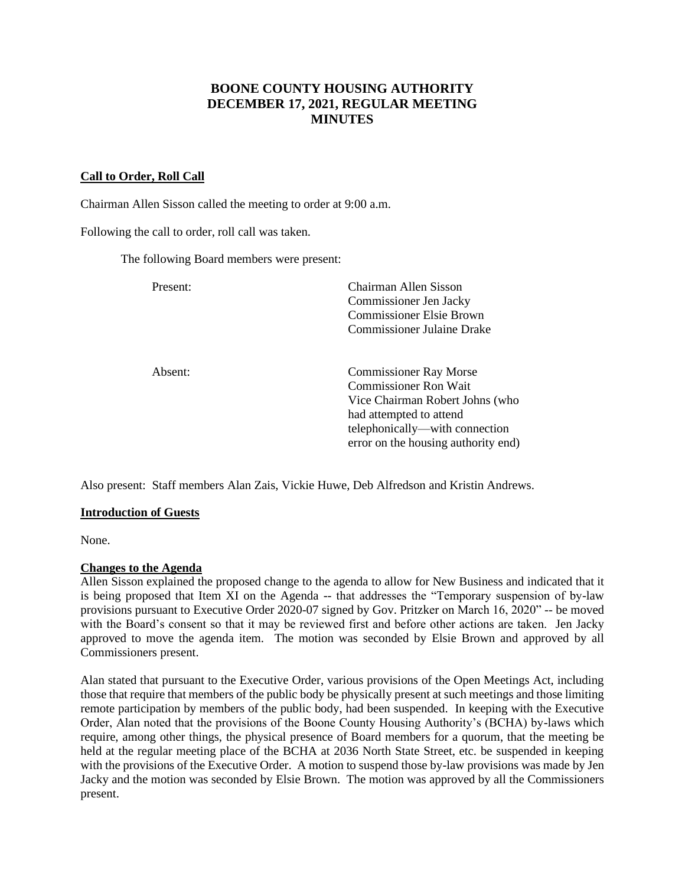# **BOONE COUNTY HOUSING AUTHORITY DECEMBER 17, 2021, REGULAR MEETING MINUTES**

#### **Call to Order, Roll Call**

Chairman Allen Sisson called the meeting to order at 9:00 a.m.

Following the call to order, roll call was taken.

The following Board members were present:

| Present: | Chairman Allen Sisson<br>Commissioner Jen Jacky<br><b>Commissioner Elsie Brown</b><br><b>Commissioner Julaine Drake</b>                                                                              |
|----------|------------------------------------------------------------------------------------------------------------------------------------------------------------------------------------------------------|
| Absent:  | <b>Commissioner Ray Morse</b><br><b>Commissioner Ron Wait</b><br>Vice Chairman Robert Johns (who<br>had attempted to attend<br>telephonically—with connection<br>error on the housing authority end) |

Also present: Staff members Alan Zais, Vickie Huwe, Deb Alfredson and Kristin Andrews.

#### **Introduction of Guests**

None.

#### **Changes to the Agenda**

Allen Sisson explained the proposed change to the agenda to allow for New Business and indicated that it is being proposed that Item XI on the Agenda -- that addresses the "Temporary suspension of by-law provisions pursuant to Executive Order 2020-07 signed by Gov. Pritzker on March 16, 2020" -- be moved with the Board's consent so that it may be reviewed first and before other actions are taken. Jen Jacky approved to move the agenda item. The motion was seconded by Elsie Brown and approved by all Commissioners present.

Alan stated that pursuant to the Executive Order, various provisions of the Open Meetings Act, including those that require that members of the public body be physically present at such meetings and those limiting remote participation by members of the public body, had been suspended. In keeping with the Executive Order, Alan noted that the provisions of the Boone County Housing Authority's (BCHA) by-laws which require, among other things, the physical presence of Board members for a quorum, that the meeting be held at the regular meeting place of the BCHA at 2036 North State Street, etc. be suspended in keeping with the provisions of the Executive Order. A motion to suspend those by-law provisions was made by Jen Jacky and the motion was seconded by Elsie Brown. The motion was approved by all the Commissioners present.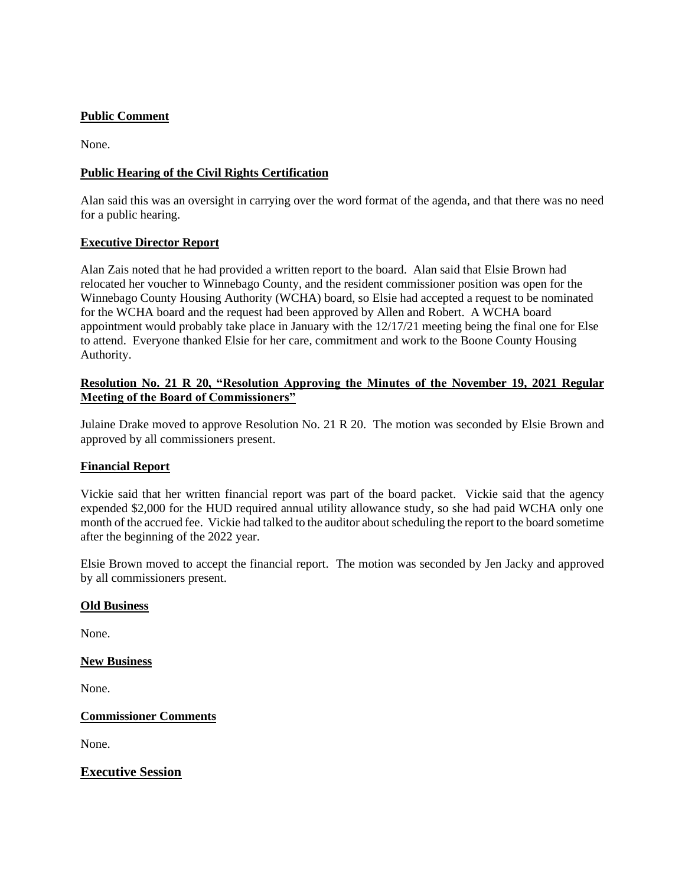### **Public Comment**

None.

### **Public Hearing of the Civil Rights Certification**

Alan said this was an oversight in carrying over the word format of the agenda, and that there was no need for a public hearing.

### **Executive Director Report**

Alan Zais noted that he had provided a written report to the board. Alan said that Elsie Brown had relocated her voucher to Winnebago County, and the resident commissioner position was open for the Winnebago County Housing Authority (WCHA) board, so Elsie had accepted a request to be nominated for the WCHA board and the request had been approved by Allen and Robert. A WCHA board appointment would probably take place in January with the 12/17/21 meeting being the final one for Else to attend. Everyone thanked Elsie for her care, commitment and work to the Boone County Housing Authority.

#### **Resolution No. 21 R 20, "Resolution Approving the Minutes of the November 19, 2021 Regular Meeting of the Board of Commissioners"**

Julaine Drake moved to approve Resolution No. 21 R 20. The motion was seconded by Elsie Brown and approved by all commissioners present.

#### **Financial Report**

Vickie said that her written financial report was part of the board packet. Vickie said that the agency expended \$2,000 for the HUD required annual utility allowance study, so she had paid WCHA only one month of the accrued fee. Vickie had talked to the auditor about scheduling the report to the board sometime after the beginning of the 2022 year.

Elsie Brown moved to accept the financial report. The motion was seconded by Jen Jacky and approved by all commissioners present.

#### **Old Business**

None.

#### **New Business**

None.

**Commissioner Comments**

None.

**Executive Session**